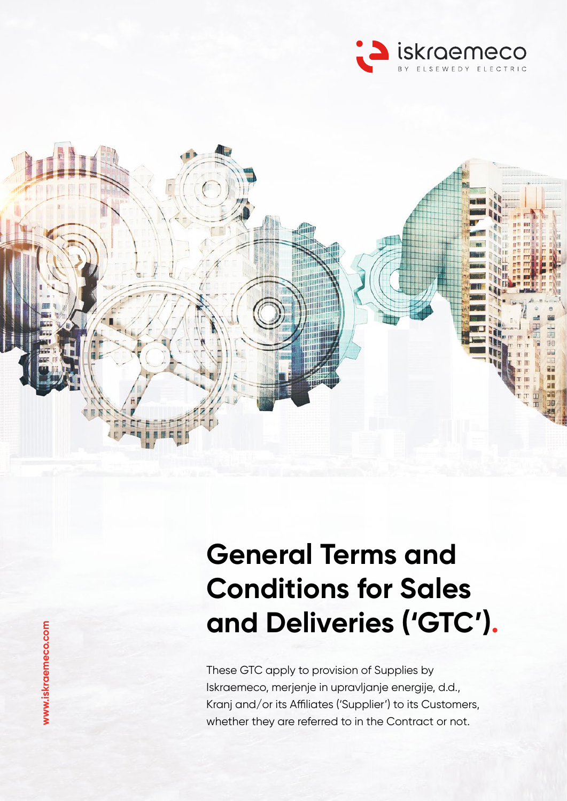



# **General Terms and Conditions for Sales and Deliveries ('GTC') .**

These GTC apply to provision of Supplies by Iskraemeco, merjenje in upravljanje energije, d.d., Kranj and/or its Affiliates ('Supplier') to its Customers, whether they are referred to in the Contract or not.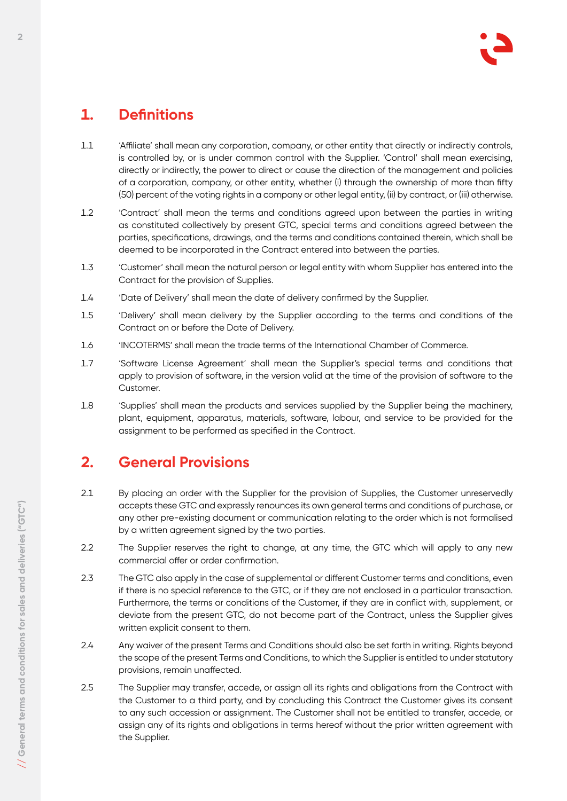# **1. Definitions**

- 1.1 'Affiliate' shall mean any corporation, company, or other entity that directly or indirectly controls, is controlled by, or is under common control with the Supplier. 'Control' shall mean exercising, directly or indirectly, the power to direct or cause the direction of the management and policies of a corporation, company, or other entity, whether (i) through the ownership of more than fifty (50) percent of the voting rights in a company or other legal entity, (ii) by contract, or (iii) otherwise.
- 1.2 'Contract' shall mean the terms and conditions agreed upon between the parties in writing as constituted collectively by present GTC, special terms and conditions agreed between the parties, specifications, drawings, and the terms and conditions contained therein, which shall be deemed to be incorporated in the Contract entered into between the parties.
- 1.3 'Customer' shall mean the natural person or legal entity with whom Supplier has entered into the Contract for the provision of Supplies.
- 1.4 'Date of Delivery' shall mean the date of delivery confirmed by the Supplier.
- 1.5 'Delivery' shall mean delivery by the Supplier according to the terms and conditions of the Contract on or before the Date of Delivery.
- 1.6 'INCOTERMS' shall mean the trade terms of the International Chamber of Commerce.
- 1.7 'Software License Agreement' shall mean the Supplier's special terms and conditions that apply to provision of software, in the version valid at the time of the provision of software to the Customer.
- 1.8 'Supplies' shall mean the products and services supplied by the Supplier being the machinery, plant, equipment, apparatus, materials, software, labour, and service to be provided for the assignment to be performed as specified in the Contract.

## **2. General Provisions**

- 2.1 By placing an order with the Supplier for the provision of Supplies, the Customer unreservedly accepts these GTC and expressly renounces its own general terms and conditions of purchase, or any other pre-existing document or communication relating to the order which is not formalised by a written agreement signed by the two parties.
- 2.2 The Supplier reserves the right to change, at any time, the GTC which will apply to any new commercial offer or order confirmation.
- 2.3 The GTC also apply in the case of supplemental or different Customer terms and conditions, even if there is no special reference to the GTC, or if they are not enclosed in a particular transaction. Furthermore, the terms or conditions of the Customer, if they are in conflict with, supplement, or deviate from the present GTC, do not become part of the Contract, unless the Supplier gives written explicit consent to them.
- 2.4 Any waiver of the present Terms and Conditions should also be set forth in writing. Rights beyond the scope of the present Terms and Conditions, to which the Supplier is entitled to under statutory provisions, remain unaffected.
- 2.5 The Supplier may transfer, accede, or assign all its rights and obligations from the Contract with the Customer to a third party, and by concluding this Contract the Customer gives its consent to any such accession or assignment. The Customer shall not be entitled to transfer, accede, or assign any of its rights and obligations in terms hereof without the prior written agreement with the Supplier.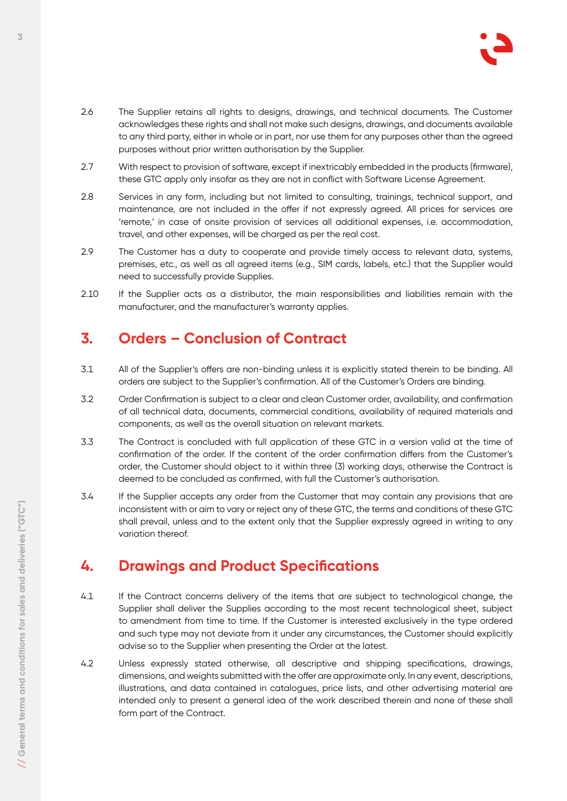

- 2.6 The Supplier retains all rights to designs, drawings, and technical documents. The Customer acknowledges these rights and shall not make such designs, drawings, and documents available to any third party, either in whole or in part, nor use them for any purposes other than the agreed purposes without prior written authorisation by the Supplier.
- 2.7 With respect to provision of software, except if inextricably embedded in the products (firmware), these GTC apply only insofar as they are not in conflict with Software License Agreement.
- 2.8 Services in any form, including but not limited to consulting, trainings, technical support, and maintenance, are not included in the offer if not expressly agreed. All prices for services are 'remote,' in case of onsite provision of services all additional expenses, i.e. accommodation, travel, and other expenses, will be charged as per the real cost.
- 2.9 The Customer has a duty to cooperate and provide timely access to relevant data, systems, premises, etc., as well as all agreed items (e.g., SIM cards, labels, etc.) that the Supplier would need to successfully provide Supplies.
- 2.10 If the Supplier acts as a distributor, the main responsibilities and liabilities remain with the manufacturer, and the manufacturer's warranty applies.

#### **3. Orders – Conclusion of Contract**

- 3.1 All of the Supplier's offers are non-binding unless it is explicitly stated therein to be binding. All orders are subject to the Supplier's confirmation. All of the Customer's Orders are binding.
- 3.2 Order Confirmation is subject to a clear and clean Customer order, availability, and confirmation of all technical data, documents, commercial conditions, availability of required materials and components, as well as the overall situation on relevant markets.
- 3.3 The Contract is concluded with full application of these GTC in a version valid at the time of confirmation of the order. If the content of the order confirmation differs from the Customer's order, the Customer should object to it within three (3) working days, otherwise the Contract is deemed to be concluded as confirmed, with full the Customer's authorisation.
- 3.4 If the Supplier accepts any order from the Customer that may contain any provisions that are inconsistent with or aim to vary or reject any of these GTC, the terms and conditions of these GTC shall prevail, unless and to the extent only that the Supplier expressly agreed in writing to any variation thereof.

#### **4. Drawings and Product Specifications**

- 4.1 If the Contract concerns delivery of the items that are subject to technological change, the Supplier shall deliver the Supplies according to the most recent technological sheet, subject to amendment from time to time. If the Customer is interested exclusively in the type ordered and such type may not deviate from it under any circumstances, the Customer should explicitly advise so to the Supplier when presenting the Order at the latest.
- 4.2 Unless expressly stated otherwise, all descriptive and shipping specifications, drawings, dimensions, and weights submitted with the offer are approximate only. In any event, descriptions, illustrations, and data contained in catalogues, price lists, and other advertising material are intended only to present a general idea of the work described therein and none of these shall form part of the Contract.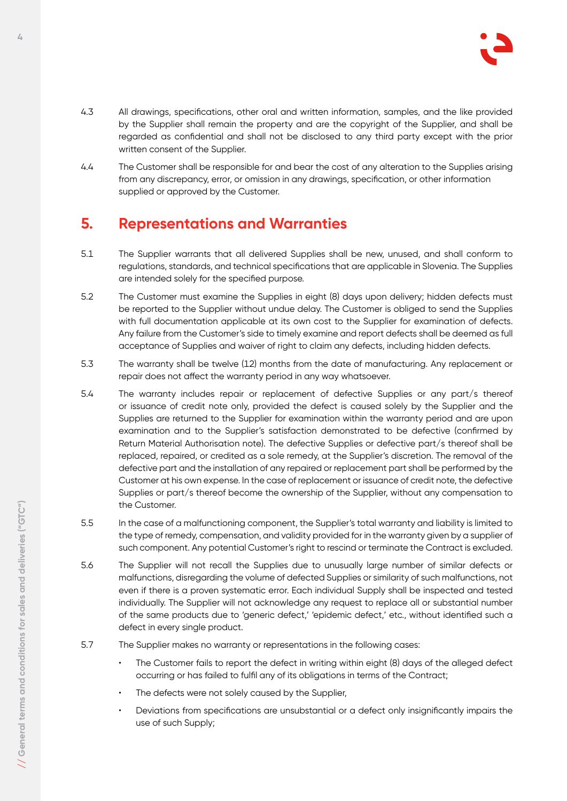

- 4.3 All drawings, specifications, other oral and written information, samples, and the like provided by the Supplier shall remain the property and are the copyright of the Supplier, and shall be regarded as confidential and shall not be disclosed to any third party except with the prior written consent of the Supplier.
- 4.4 The Customer shall be responsible for and bear the cost of any alteration to the Supplies arising from any discrepancy, error, or omission in any drawings, specification, or other information supplied or approved by the Customer.

#### **5. Representations and Warranties**

- 5.1 The Supplier warrants that all delivered Supplies shall be new, unused, and shall conform to regulations, standards, and technical specifications that are applicable in Slovenia. The Supplies are intended solely for the specified purpose.
- 5.2 The Customer must examine the Supplies in eight (8) days upon delivery; hidden defects must be reported to the Supplier without undue delay. The Customer is obliged to send the Supplies with full documentation applicable at its own cost to the Supplier for examination of defects. Any failure from the Customer's side to timely examine and report defects shall be deemed as full acceptance of Supplies and waiver of right to claim any defects, including hidden defects.
- 5.3 The warranty shall be twelve (12) months from the date of manufacturing. Any replacement or repair does not affect the warranty period in any way whatsoever.
- 5.4 The warranty includes repair or replacement of defective Supplies or any part/s thereof or issuance of credit note only, provided the defect is caused solely by the Supplier and the Supplies are returned to the Supplier for examination within the warranty period and are upon examination and to the Supplier's satisfaction demonstrated to be defective (confirmed by Return Material Authorisation note). The defective Supplies or defective part/s thereof shall be replaced, repaired, or credited as a sole remedy, at the Supplier's discretion. The removal of the defective part and the installation of any repaired or replacement part shall be performed by the Customer at his own expense. In the case of replacement or issuance of credit note, the defective Supplies or part/s thereof become the ownership of the Supplier, without any compensation to the Customer.
- 5.5 In the case of a malfunctioning component, the Supplier's total warranty and liability is limited to the type of remedy, compensation, and validity provided for in the warranty given by a supplier of such component. Any potential Customer's right to rescind or terminate the Contract is excluded.
- 5.6 The Supplier will not recall the Supplies due to unusually large number of similar defects or malfunctions, disregarding the volume of defected Supplies or similarity of such malfunctions, not even if there is a proven systematic error. Each individual Supply shall be inspected and tested individually. The Supplier will not acknowledge any request to replace all or substantial number of the same products due to 'generic defect,' 'epidemic defect,' etc., without identified such a defect in every single product.
- 5.7 The Supplier makes no warranty or representations in the following cases:
	- The Customer fails to report the defect in writing within eight (8) days of the alleged defect occurring or has failed to fulfil any of its obligations in terms of the Contract;
	- The defects were not solely caused by the Supplier,
	- Deviations from specifications are unsubstantial or a defect only insignificantly impairs the use of such Supply;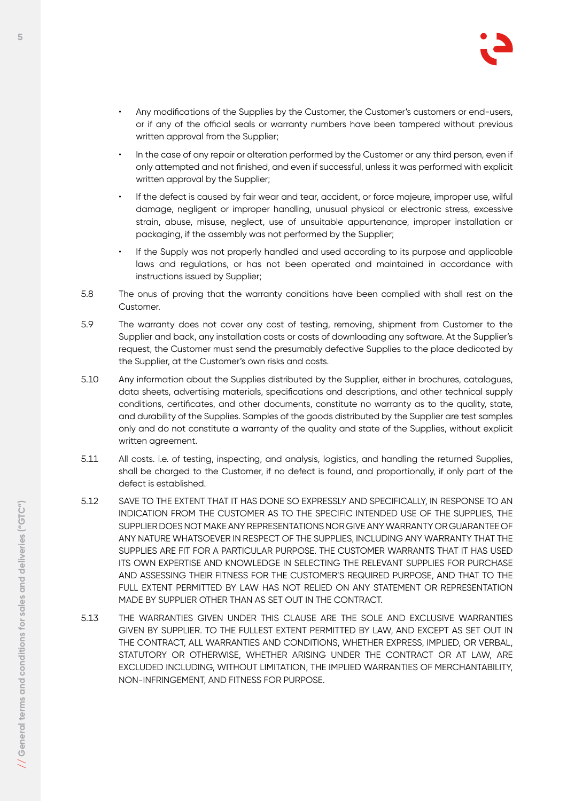

- Any modifications of the Supplies by the Customer, the Customer's customers or end-users, or if any of the official seals or warranty numbers have been tampered without previous written approval from the Supplier;
- In the case of any repair or alteration performed by the Customer or any third person, even if only attempted and not finished, and even if successful, unless it was performed with explicit written approval by the Supplier;
- If the defect is caused by fair wear and tear, accident, or force majeure, improper use, wilful damage, negligent or improper handling, unusual physical or electronic stress, excessive strain, abuse, misuse, neglect, use of unsuitable appurtenance, improper installation or packaging, if the assembly was not performed by the Supplier;
- If the Supply was not properly handled and used according to its purpose and applicable laws and regulations, or has not been operated and maintained in accordance with instructions issued by Supplier;
- 5.8 The onus of proving that the warranty conditions have been complied with shall rest on the Customer.
- 5.9 The warranty does not cover any cost of testing, removing, shipment from Customer to the Supplier and back, any installation costs or costs of downloading any software. At the Supplier's request, the Customer must send the presumably defective Supplies to the place dedicated by the Supplier, at the Customer's own risks and costs.
- 5.10 Any information about the Supplies distributed by the Supplier, either in brochures, catalogues, data sheets, advertising materials, specifications and descriptions, and other technical supply conditions, certificates, and other documents, constitute no warranty as to the quality, state, and durability of the Supplies. Samples of the goods distributed by the Supplier are test samples only and do not constitute a warranty of the quality and state of the Supplies, without explicit written agreement.
- 5.11 All costs. i.e. of testing, inspecting, and analysis, logistics, and handling the returned Supplies, shall be charged to the Customer, if no defect is found, and proportionally, if only part of the defect is established.
- 5.12 SAVE TO THE EXTENT THAT IT HAS DONE SO EXPRESSLY AND SPECIFICALLY, IN RESPONSE TO AN INDICATION FROM THE CUSTOMER AS TO THE SPECIFIC INTENDED USE OF THE SUPPLIES, THE SUPPLIER DOES NOT MAKE ANY REPRESENTATIONS NOR GIVE ANY WARRANTY OR GUARANTEE OF ANY NATURE WHATSOEVER IN RESPECT OF THE SUPPLIES, INCLUDING ANY WARRANTY THAT THE SUPPLIES ARE FIT FOR A PARTICULAR PURPOSE. THE CUSTOMER WARRANTS THAT IT HAS USED ITS OWN EXPERTISE AND KNOWLEDGE IN SELECTING THE RELEVANT SUPPLIES FOR PURCHASE AND ASSESSING THEIR FITNESS FOR THE CUSTOMER'S REQUIRED PURPOSE, AND THAT TO THE FULL EXTENT PERMITTED BY LAW HAS NOT RELIED ON ANY STATEMENT OR REPRESENTATION MADE BY SUPPLIER OTHER THAN AS SET OUT IN THE CONTRACT.
- 5.13 THE WARRANTIES GIVEN UNDER THIS CLAUSE ARE THE SOLE AND EXCLUSIVE WARRANTIES GIVEN BY SUPPLIER. TO THE FULLEST EXTENT PERMITTED BY LAW, AND EXCEPT AS SET OUT IN THE CONTRACT, ALL WARRANTIES AND CONDITIONS, WHETHER EXPRESS, IMPLIED, OR VERBAL, STATUTORY OR OTHERWISE, WHETHER ARISING UNDER THE CONTRACT OR AT LAW, ARE EXCLUDED INCLUDING, WITHOUT LIMITATION, THE IMPLIED WARRANTIES OF MERCHANTABILITY, NON-INFRINGEMENT, AND FITNESS FOR PURPOSE.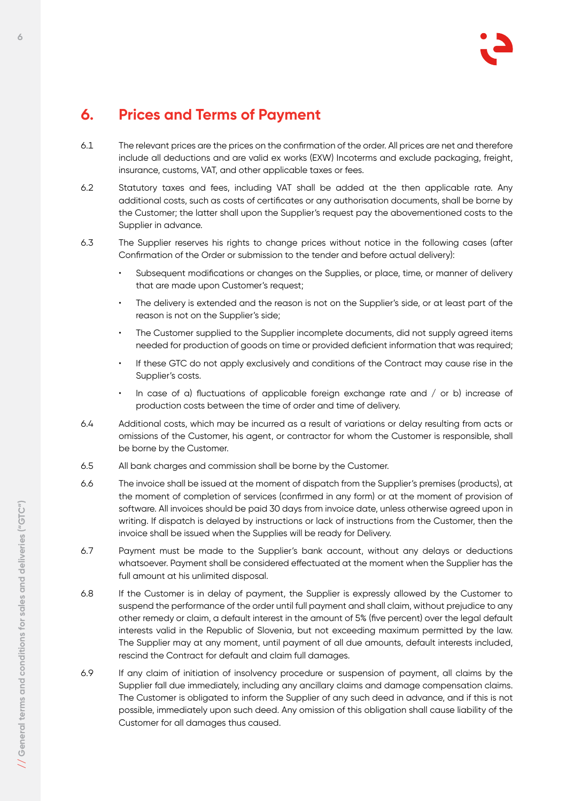## **6. Prices and Terms of Payment**

- 6.1 The relevant prices are the prices on the confirmation of the order. All prices are net and therefore include all deductions and are valid ex works (EXW) Incoterms and exclude packaging, freight, insurance, customs, VAT, and other applicable taxes or fees.
- 6.2 Statutory taxes and fees, including VAT shall be added at the then applicable rate. Any additional costs, such as costs of certificates or any authorisation documents, shall be borne by the Customer; the latter shall upon the Supplier's request pay the abovementioned costs to the Supplier in advance.
- 6.3 The Supplier reserves his rights to change prices without notice in the following cases (after Confirmation of the Order or submission to the tender and before actual delivery):
	- Subsequent modifications or changes on the Supplies, or place, time, or manner of delivery that are made upon Customer's request;
	- The delivery is extended and the reason is not on the Supplier's side, or at least part of the reason is not on the Supplier's side;
	- The Customer supplied to the Supplier incomplete documents, did not supply agreed items needed for production of goods on time or provided deficient information that was required;
	- If these GTC do not apply exclusively and conditions of the Contract may cause rise in the Supplier's costs.
	- In case of a) fluctuations of applicable foreign exchange rate and  $/$  or b) increase of production costs between the time of order and time of delivery.
- 6.4 Additional costs, which may be incurred as a result of variations or delay resulting from acts or omissions of the Customer, his agent, or contractor for whom the Customer is responsible, shall be borne by the Customer.
- 6.5 All bank charges and commission shall be borne by the Customer.
- 6.6 The invoice shall be issued at the moment of dispatch from the Supplier's premises (products), at the moment of completion of services (confirmed in any form) or at the moment of provision of software. All invoices should be paid 30 days from invoice date, unless otherwise agreed upon in writing. If dispatch is delayed by instructions or lack of instructions from the Customer, then the invoice shall be issued when the Supplies will be ready for Delivery.
- 6.7 Payment must be made to the Supplier's bank account, without any delays or deductions whatsoever. Payment shall be considered effectuated at the moment when the Supplier has the full amount at his unlimited disposal.
- 6.8 If the Customer is in delay of payment, the Supplier is expressly allowed by the Customer to suspend the performance of the order until full payment and shall claim, without prejudice to any other remedy or claim, a default interest in the amount of 5% (five percent) over the legal default interests valid in the Republic of Slovenia, but not exceeding maximum permitted by the law. The Supplier may at any moment, until payment of all due amounts, default interests included, rescind the Contract for default and claim full damages.
- 6.9 If any claim of initiation of insolvency procedure or suspension of payment, all claims by the Supplier fall due immediately, including any ancillary claims and damage compensation claims. The Customer is obligated to inform the Supplier of any such deed in advance, and if this is not possible, immediately upon such deed. Any omission of this obligation shall cause liability of the Customer for all damages thus caused.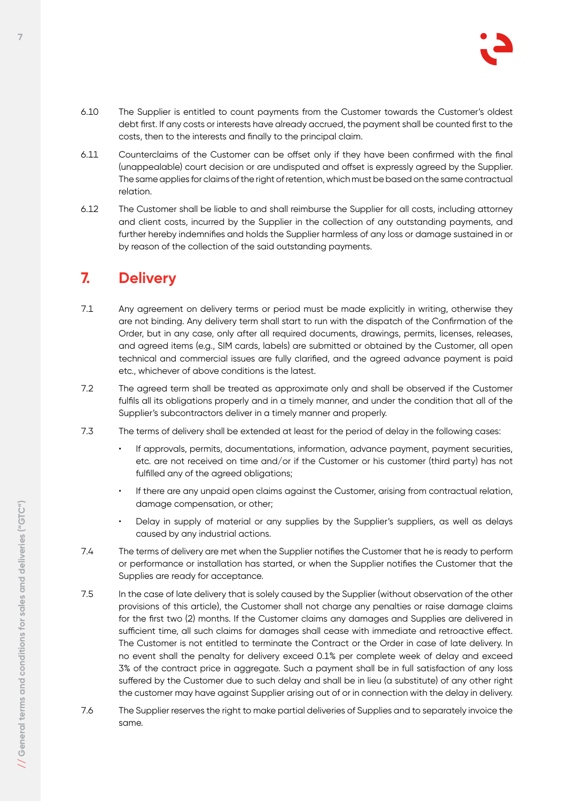

- 6.10 The Supplier is entitled to count payments from the Customer towards the Customer's oldest debt first. If any costs or interests have already accrued, the payment shall be counted first to the costs, then to the interests and finally to the principal claim.
- 6.11 Counterclaims of the Customer can be offset only if they have been confirmed with the final (unappealable) court decision or are undisputed and offset is expressly agreed by the Supplier. The same applies for claims of the right of retention, which must be based on the same contractual relation.
- 6.12 The Customer shall be liable to and shall reimburse the Supplier for all costs, including attorney and client costs, incurred by the Supplier in the collection of any outstanding payments, and further hereby indemnifies and holds the Supplier harmless of any loss or damage sustained in or by reason of the collection of the said outstanding payments.

## **7. Delivery**

- 7.1 Any agreement on delivery terms or period must be made explicitly in writing, otherwise they are not binding. Any delivery term shall start to run with the dispatch of the Confirmation of the Order, but in any case, only after all required documents, drawings, permits, licenses, releases, and agreed items (e.g., SIM cards, labels) are submitted or obtained by the Customer, all open technical and commercial issues are fully clarified, and the agreed advance payment is paid etc., whichever of above conditions is the latest.
- 7.2 The agreed term shall be treated as approximate only and shall be observed if the Customer fulfils all its obligations properly and in a timely manner, and under the condition that all of the Supplier's subcontractors deliver in a timely manner and properly.
- 7.3 The terms of delivery shall be extended at least for the period of delay in the following cases:
	- If approvals, permits, documentations, information, advance payment, payment securities, etc. are not received on time and/or if the Customer or his customer (third party) has not fulfilled any of the agreed obligations;
	- If there are any unpaid open claims against the Customer, arising from contractual relation, damage compensation, or other;
	- Delay in supply of material or any supplies by the Supplier's suppliers, as well as delays caused by any industrial actions.
- 7.4 The terms of delivery are met when the Supplier notifies the Customer that he is ready to perform or performance or installation has started, or when the Supplier notifies the Customer that the Supplies are ready for acceptance.
- 7.5 In the case of late delivery that is solely caused by the Supplier (without observation of the other provisions of this article), the Customer shall not charge any penalties or raise damage claims for the first two (2) months. If the Customer claims any damages and Supplies are delivered in sufficient time, all such claims for damages shall cease with immediate and retroactive effect. The Customer is not entitled to terminate the Contract or the Order in case of late delivery. In no event shall the penalty for delivery exceed 0.1% per complete week of delay and exceed 3% of the contract price in aggregate. Such a payment shall be in full satisfaction of any loss suffered by the Customer due to such delay and shall be in lieu (a substitute) of any other right the customer may have against Supplier arising out of or in connection with the delay in delivery.
- 7.6 The Supplier reserves the right to make partial deliveries of Supplies and to separately invoice the same.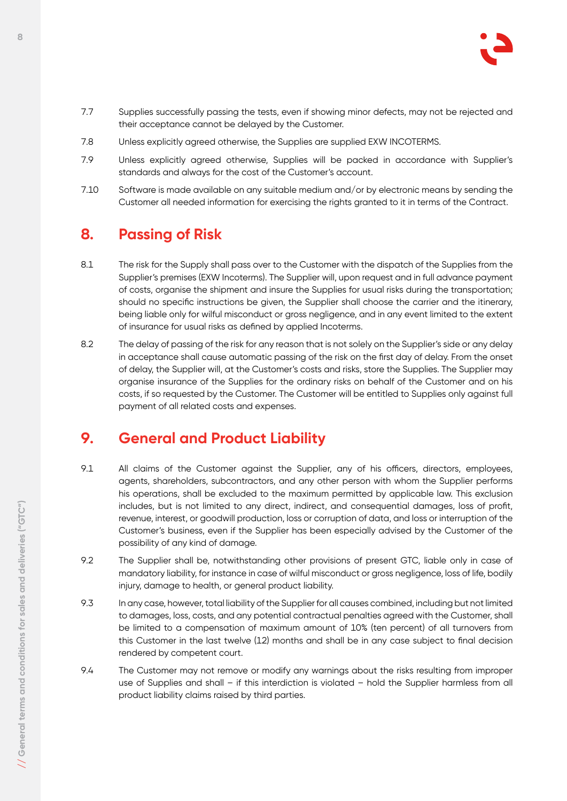

- 7.7 Supplies successfully passing the tests, even if showing minor defects, may not be rejected and their acceptance cannot be delayed by the Customer.
- 7.8 Unless explicitly agreed otherwise, the Supplies are supplied EXW INCOTERMS.
- 7.9 Unless explicitly agreed otherwise, Supplies will be packed in accordance with Supplier's standards and always for the cost of the Customer's account.
- 7.10 Software is made available on any suitable medium and/or by electronic means by sending the Customer all needed information for exercising the rights granted to it in terms of the Contract.

#### **8. Passing of Risk**

- 8.1 The risk for the Supply shall pass over to the Customer with the dispatch of the Supplies from the Supplier's premises (EXW Incoterms). The Supplier will, upon request and in full advance payment of costs, organise the shipment and insure the Supplies for usual risks during the transportation; should no specific instructions be given, the Supplier shall choose the carrier and the itinerary, being liable only for wilful misconduct or gross negligence, and in any event limited to the extent of insurance for usual risks as defined by applied Incoterms.
- 8.2 The delay of passing of the risk for any reason that is not solely on the Supplier's side or any delay in acceptance shall cause automatic passing of the risk on the first day of delay. From the onset of delay, the Supplier will, at the Customer's costs and risks, store the Supplies. The Supplier may organise insurance of the Supplies for the ordinary risks on behalf of the Customer and on his costs, if so requested by the Customer. The Customer will be entitled to Supplies only against full payment of all related costs and expenses.

## **9. General and Product Liability**

- 9.1 All claims of the Customer against the Supplier, any of his officers, directors, employees, agents, shareholders, subcontractors, and any other person with whom the Supplier performs his operations, shall be excluded to the maximum permitted by applicable law. This exclusion includes, but is not limited to any direct, indirect, and consequential damages, loss of profit, revenue, interest, or goodwill production, loss or corruption of data, and loss or interruption of the Customer's business, even if the Supplier has been especially advised by the Customer of the possibility of any kind of damage.
- 9.2 The Supplier shall be, notwithstanding other provisions of present GTC, liable only in case of mandatory liability, for instance in case of wilful misconduct or gross negligence, loss of life, bodily injury, damage to health, or general product liability.
- 9.3 In any case, however, total liability of the Supplier for all causes combined, including but not limited to damages, loss, costs, and any potential contractual penalties agreed with the Customer, shall be limited to a compensation of maximum amount of 10% (ten percent) of all turnovers from this Customer in the last twelve (12) months and shall be in any case subject to final decision rendered by competent court.
- 9.4 The Customer may not remove or modify any warnings about the risks resulting from improper use of Supplies and shall – if this interdiction is violated – hold the Supplier harmless from all product liability claims raised by third parties.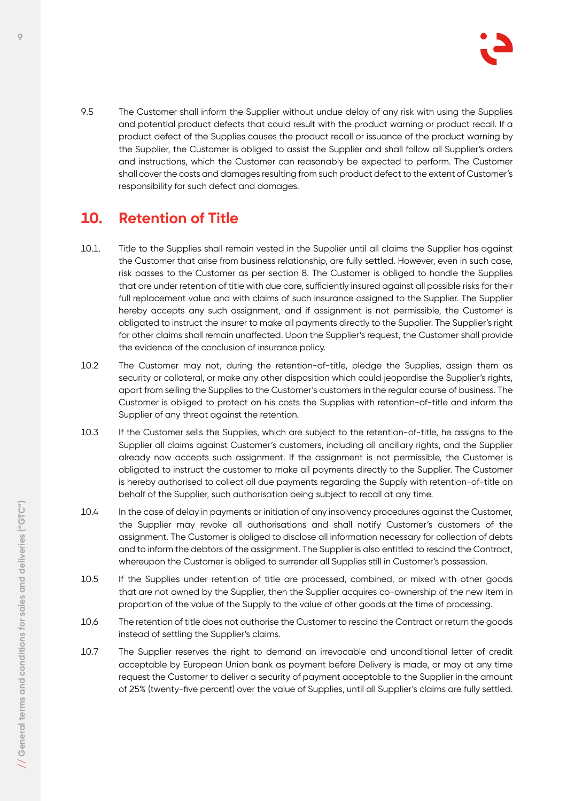

9.5 The Customer shall inform the Supplier without undue delay of any risk with using the Supplies and potential product defects that could result with the product warning or product recall. If a product defect of the Supplies causes the product recall or issuance of the product warning by the Supplier, the Customer is obliged to assist the Supplier and shall follow all Supplier's orders and instructions, which the Customer can reasonably be expected to perform. The Customer shall cover the costs and damages resulting from such product defect to the extent of Customer's responsibility for such defect and damages.

## **10. Retention of Title**

- 10.1. Title to the Supplies shall remain vested in the Supplier until all claims the Supplier has against the Customer that arise from business relationship, are fully settled. However, even in such case, risk passes to the Customer as per section 8. The Customer is obliged to handle the Supplies that are under retention of title with due care, sufficiently insured against all possible risks for their full replacement value and with claims of such insurance assigned to the Supplier. The Supplier hereby accepts any such assignment, and if assignment is not permissible, the Customer is obligated to instruct the insurer to make all payments directly to the Supplier. The Supplier's right for other claims shall remain unaffected. Upon the Supplier's request, the Customer shall provide the evidence of the conclusion of insurance policy.
- 10.2 The Customer may not, during the retention-of-title, pledge the Supplies, assign them as security or collateral, or make any other disposition which could jeopardise the Supplier's rights, apart from selling the Supplies to the Customer's customers in the regular course of business. The Customer is obliged to protect on his costs the Supplies with retention-of-title and inform the Supplier of any threat against the retention.
- 10.3 If the Customer sells the Supplies, which are subject to the retention-of-title, he assigns to the Supplier all claims against Customer's customers, including all ancillary rights, and the Supplier already now accepts such assignment. If the assignment is not permissible, the Customer is obligated to instruct the customer to make all payments directly to the Supplier. The Customer is hereby authorised to collect all due payments regarding the Supply with retention-of-title on behalf of the Supplier, such authorisation being subject to recall at any time.
- 10.4 In the case of delay in payments or initiation of any insolvency procedures against the Customer, the Supplier may revoke all authorisations and shall notify Customer's customers of the assignment. The Customer is obliged to disclose all information necessary for collection of debts and to inform the debtors of the assignment. The Supplier is also entitled to rescind the Contract, whereupon the Customer is obliged to surrender all Supplies still in Customer's possession.
- 10.5 If the Supplies under retention of title are processed, combined, or mixed with other goods that are not owned by the Supplier, then the Supplier acquires co-ownership of the new item in proportion of the value of the Supply to the value of other goods at the time of processing.
- 10.6 The retention of title does not authorise the Customer to rescind the Contract or return the goods instead of settling the Supplier's claims.
- 10.7 The Supplier reserves the right to demand an irrevocable and unconditional letter of credit acceptable by European Union bank as payment before Delivery is made, or may at any time request the Customer to deliver a security of payment acceptable to the Supplier in the amount of 25% (twenty-five percent) over the value of Supplies, until all Supplier's claims are fully settled.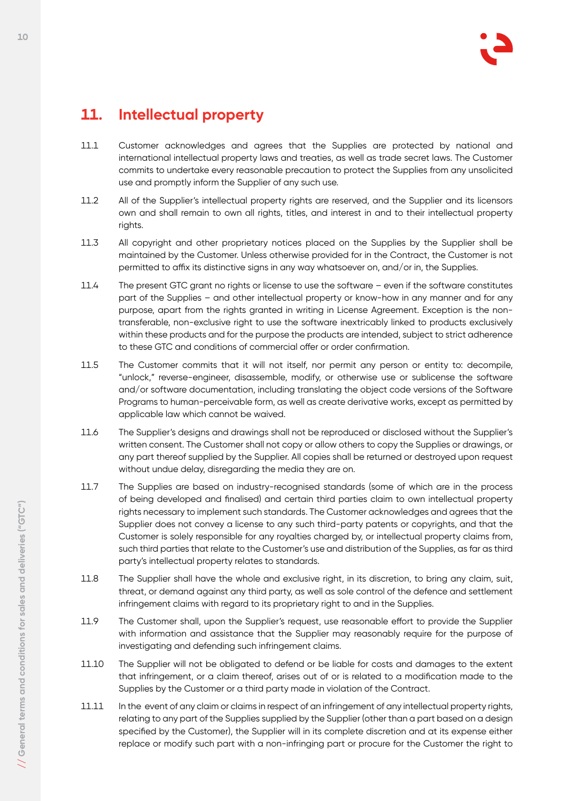## **11. Intellectual property**

- 11.1 Customer acknowledges and agrees that the Supplies are protected by national and international intellectual property laws and treaties, as well as trade secret laws. The Customer commits to undertake every reasonable precaution to protect the Supplies from any unsolicited use and promptly inform the Supplier of any such use.
- 11.2 All of the Supplier's intellectual property rights are reserved, and the Supplier and its licensors own and shall remain to own all rights, titles, and interest in and to their intellectual property rights.
- 11.3 All copyright and other proprietary notices placed on the Supplies by the Supplier shall be maintained by the Customer. Unless otherwise provided for in the Contract, the Customer is not permitted to affix its distinctive signs in any way whatsoever on, and/or in, the Supplies.
- 11.4 The present GTC grant no rights or license to use the software even if the software constitutes part of the Supplies – and other intellectual property or know-how in any manner and for any purpose, apart from the rights granted in writing in License Agreement. Exception is the nontransferable, non-exclusive right to use the software inextricably linked to products exclusively within these products and for the purpose the products are intended, subject to strict adherence to these GTC and conditions of commercial offer or order confirmation.
- 11.5 The Customer commits that it will not itself, nor permit any person or entity to: decompile, "unlock," reverse-engineer, disassemble, modify, or otherwise use or sublicense the software and/or software documentation, including translating the object code versions of the Software Programs to human-perceivable form, as well as create derivative works, except as permitted by applicable law which cannot be waived.
- 11.6 The Supplier's designs and drawings shall not be reproduced or disclosed without the Supplier's written consent. The Customer shall not copy or allow others to copy the Supplies or drawings, or any part thereof supplied by the Supplier. All copies shall be returned or destroyed upon request without undue delay, disregarding the media they are on.
- 11.7 The Supplies are based on industry-recognised standards (some of which are in the process of being developed and finalised) and certain third parties claim to own intellectual property rights necessary to implement such standards. The Customer acknowledges and agrees that the Supplier does not convey a license to any such third-party patents or copyrights, and that the Customer is solely responsible for any royalties charged by, or intellectual property claims from, such third parties that relate to the Customer's use and distribution of the Supplies, as far as third party's intellectual property relates to standards.
- 11.8 The Supplier shall have the whole and exclusive right, in its discretion, to bring any claim, suit, threat, or demand against any third party, as well as sole control of the defence and settlement infringement claims with regard to its proprietary right to and in the Supplies.
- 11.9 The Customer shall, upon the Supplier's request, use reasonable effort to provide the Supplier with information and assistance that the Supplier may reasonably require for the purpose of investigating and defending such infringement claims.
- 11.10 The Supplier will not be obligated to defend or be liable for costs and damages to the extent that infringement, or a claim thereof, arises out of or is related to a modification made to the Supplies by the Customer or a third party made in violation of the Contract.
- 11.11 In the event of any claim or claims in respect of an infringement of any intellectual property rights, relating to any part of the Supplies supplied by the Supplier (other than a part based on a design specified by the Customer), the Supplier will in its complete discretion and at its expense either replace or modify such part with a non-infringing part or procure for the Customer the right to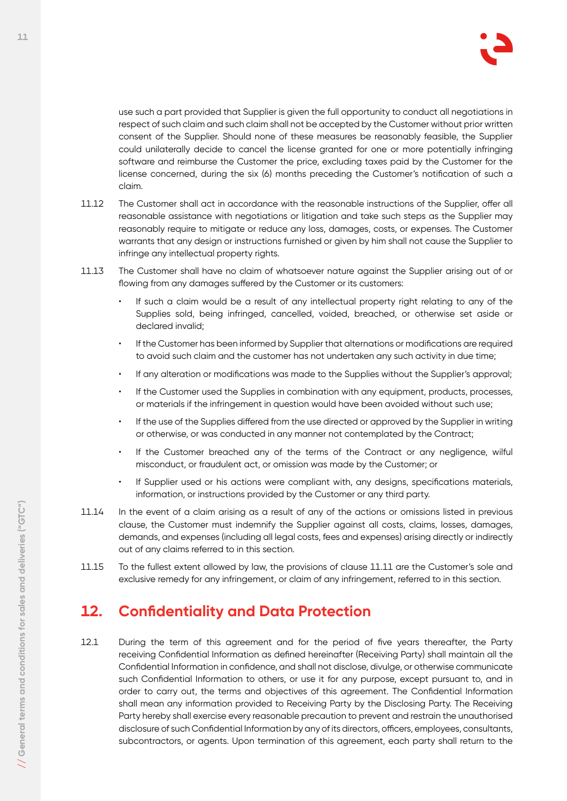

use such a part provided that Supplier is given the full opportunity to conduct all negotiations in respect of such claim and such claim shall not be accepted by the Customer without prior written consent of the Supplier. Should none of these measures be reasonably feasible, the Supplier could unilaterally decide to cancel the license granted for one or more potentially infringing software and reimburse the Customer the price, excluding taxes paid by the Customer for the license concerned, during the six (6) months preceding the Customer's notification of such a claim.

- 11.12 The Customer shall act in accordance with the reasonable instructions of the Supplier, offer all reasonable assistance with negotiations or litigation and take such steps as the Supplier may reasonably require to mitigate or reduce any loss, damages, costs, or expenses. The Customer warrants that any design or instructions furnished or given by him shall not cause the Supplier to infringe any intellectual property rights.
- 11.13 The Customer shall have no claim of whatsoever nature against the Supplier arising out of or flowing from any damages suffered by the Customer or its customers:
	- If such a claim would be a result of any intellectual property right relating to any of the Supplies sold, being infringed, cancelled, voided, breached, or otherwise set aside or declared invalid;
	- If the Customer has been informed by Supplier that alternations or modifications are required to avoid such claim and the customer has not undertaken any such activity in due time;
	- If any alteration or modifications was made to the Supplies without the Supplier's approval;
	- If the Customer used the Supplies in combination with any equipment, products, processes, or materials if the infringement in question would have been avoided without such use;
	- If the use of the Supplies differed from the use directed or approved by the Supplier in writing or otherwise, or was conducted in any manner not contemplated by the Contract;
	- If the Customer breached any of the terms of the Contract or any negligence, wilful misconduct, or fraudulent act, or omission was made by the Customer; or
	- If Supplier used or his actions were compliant with, any designs, specifications materials, information, or instructions provided by the Customer or any third party.
- 11.14 In the event of a claim arising as a result of any of the actions or omissions listed in previous clause, the Customer must indemnify the Supplier against all costs, claims, losses, damages, demands, and expenses (including all legal costs, fees and expenses) arising directly or indirectly out of any claims referred to in this section.
- 11.15 To the fullest extent allowed by law, the provisions of clause 11.11 are the Customer's sole and exclusive remedy for any infringement, or claim of any infringement, referred to in this section.

#### **12. Confidentiality and Data Protection**

12.1 During the term of this agreement and for the period of five years thereafter, the Party receiving Confidential Information as defined hereinafter (Receiving Party) shall maintain all the Confidential Information in confidence, and shall not disclose, divulge, or otherwise communicate such Confidential Information to others, or use it for any purpose, except pursuant to, and in order to carry out, the terms and objectives of this agreement. The Confidential Information shall mean any information provided to Receiving Party by the Disclosing Party. The Receiving Party hereby shall exercise every reasonable precaution to prevent and restrain the unauthorised disclosure of such Confidential Information by any of its directors, officers, employees, consultants, subcontractors, or agents. Upon termination of this agreement, each party shall return to the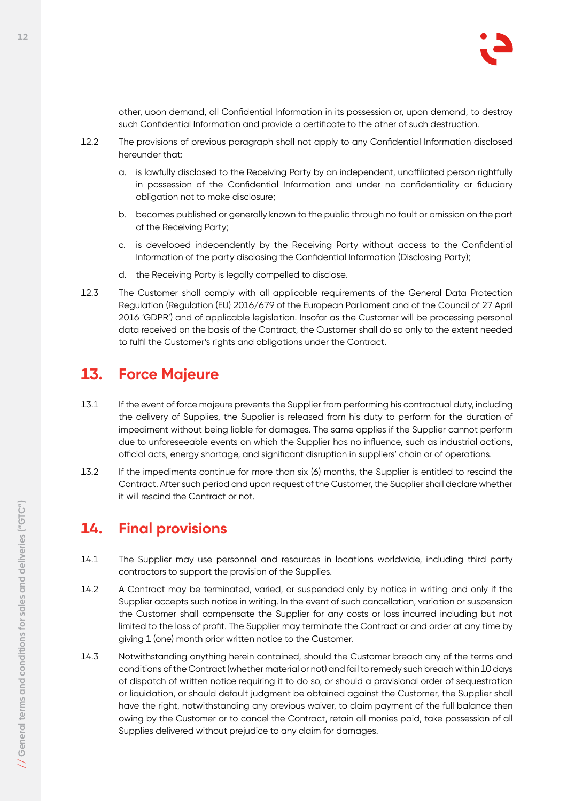

other, upon demand, all Confidential Information in its possession or, upon demand, to destroy such Confidential Information and provide a certificate to the other of such destruction.

- 12.2 The provisions of previous paragraph shall not apply to any Confidential Information disclosed hereunder that:
	- a. is lawfully disclosed to the Receiving Party by an independent, unaffiliated person rightfully in possession of the Confidential Information and under no confidentiality or fiduciary obligation not to make disclosure;
	- b. becomes published or generally known to the public through no fault or omission on the part of the Receiving Party;
	- c. is developed independently by the Receiving Party without access to the Confidential Information of the party disclosing the Confidential Information (Disclosing Party);
	- d. the Receiving Party is legally compelled to disclose.
- 12.3 The Customer shall comply with all applicable requirements of the General Data Protection Regulation (Regulation (EU) 2016/679 of the European Parliament and of the Council of 27 April 2016 'GDPR') and of applicable legislation. Insofar as the Customer will be processing personal data received on the basis of the Contract, the Customer shall do so only to the extent needed to fulfil the Customer's rights and obligations under the Contract.

#### **13. Force Majeure**

- 13.1 If the event of force majeure prevents the Supplier from performing his contractual duty, including the delivery of Supplies, the Supplier is released from his duty to perform for the duration of impediment without being liable for damages. The same applies if the Supplier cannot perform due to unforeseeable events on which the Supplier has no influence, such as industrial actions, official acts, energy shortage, and significant disruption in suppliers' chain or of operations.
- 13.2 If the impediments continue for more than six (6) months, the Supplier is entitled to rescind the Contract. After such period and upon request of the Customer, the Supplier shall declare whether it will rescind the Contract or not.

## **14. Final provisions**

- 14.1 The Supplier may use personnel and resources in locations worldwide, including third party contractors to support the provision of the Supplies.
- 14.2 A Contract may be terminated, varied, or suspended only by notice in writing and only if the Supplier accepts such notice in writing. In the event of such cancellation, variation or suspension the Customer shall compensate the Supplier for any costs or loss incurred including but not limited to the loss of profit. The Supplier may terminate the Contract or and order at any time by giving 1 (one) month prior written notice to the Customer.
- 14.3 Notwithstanding anything herein contained, should the Customer breach any of the terms and conditions of the Contract (whether material or not) and fail to remedy such breach within 10 days of dispatch of written notice requiring it to do so, or should a provisional order of sequestration or liquidation, or should default judgment be obtained against the Customer, the Supplier shall have the right, notwithstanding any previous waiver, to claim payment of the full balance then owing by the Customer or to cancel the Contract, retain all monies paid, take possession of all Supplies delivered without prejudice to any claim for damages.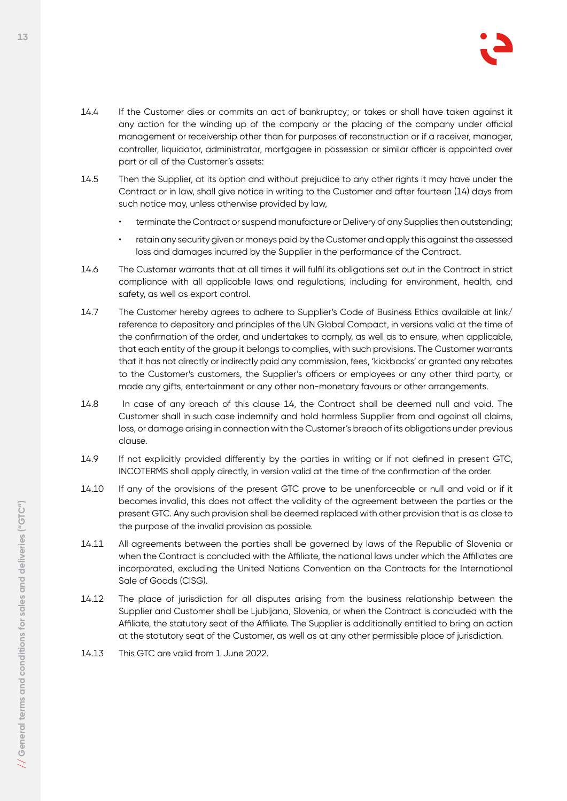

- 14.4 If the Customer dies or commits an act of bankruptcy; or takes or shall have taken against it any action for the winding up of the company or the placing of the company under official management or receivership other than for purposes of reconstruction or if a receiver, manager, controller, liquidator, administrator, mortgagee in possession or similar officer is appointed over part or all of the Customer's assets:
- 14.5 Then the Supplier, at its option and without prejudice to any other rights it may have under the Contract or in law, shall give notice in writing to the Customer and after fourteen (14) days from such notice may, unless otherwise provided by law,
	- terminate the Contract or suspend manufacture or Delivery of any Supplies then outstanding;
	- retain any security given or moneys paid by the Customer and apply this against the assessed loss and damages incurred by the Supplier in the performance of the Contract.
- 14.6 The Customer warrants that at all times it will fulfil its obligations set out in the Contract in strict compliance with all applicable laws and regulations, including for environment, health, and safety, as well as export control.
- 14.7 The Customer hereby agrees to adhere to Supplier's Code of Business Ethics available at link/ reference to depository and principles of the UN Global Compact, in versions valid at the time of the confirmation of the order, and undertakes to comply, as well as to ensure, when applicable, that each entity of the group it belongs to complies, with such provisions. The Customer warrants that it has not directly or indirectly paid any commission, fees, 'kickbacks' or granted any rebates to the Customer's customers, the Supplier's officers or employees or any other third party, or made any gifts, entertainment or any other non-monetary favours or other arrangements.
- 14.8 In case of any breach of this clause 14, the Contract shall be deemed null and void. The Customer shall in such case indemnify and hold harmless Supplier from and against all claims, loss, or damage arising in connection with the Customer's breach of its obligations under previous clause.
- 14.9 If not explicitly provided differently by the parties in writing or if not defined in present GTC, INCOTERMS shall apply directly, in version valid at the time of the confirmation of the order.
- 14.10 If any of the provisions of the present GTC prove to be unenforceable or null and void or if it becomes invalid, this does not affect the validity of the agreement between the parties or the present GTC. Any such provision shall be deemed replaced with other provision that is as close to the purpose of the invalid provision as possible.
- 14.11 All agreements between the parties shall be governed by laws of the Republic of Slovenia or when the Contract is concluded with the Affiliate, the national laws under which the Affiliates are incorporated, excluding the United Nations Convention on the Contracts for the International Sale of Goods (CISG).
- 14.12 The place of jurisdiction for all disputes arising from the business relationship between the Supplier and Customer shall be Ljubljana, Slovenia, or when the Contract is concluded with the Affiliate, the statutory seat of the Affiliate. The Supplier is additionally entitled to bring an action at the statutory seat of the Customer, as well as at any other permissible place of jurisdiction.
- 14.13 This GTC are valid from 1 June 2022.